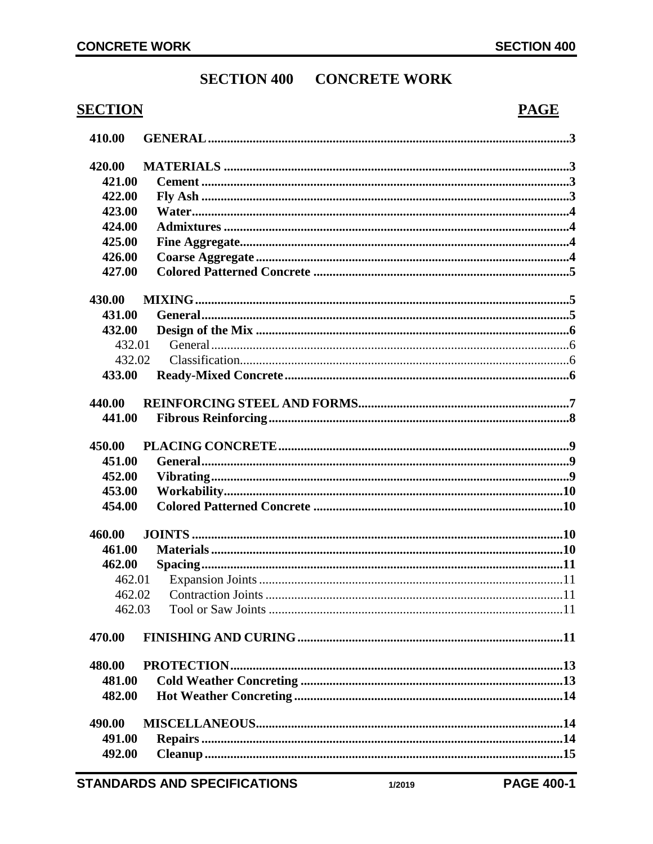# **SECTION 400 CONCRETE WORK**

# **SECTION**

# **PAGE**

| 410.00           |  |
|------------------|--|
| 420.00           |  |
| 421.00           |  |
| 422.00           |  |
| 423.00           |  |
| 424.00           |  |
| 425.00           |  |
| 426.00           |  |
| 427.00           |  |
| 430.00           |  |
| 431.00           |  |
| 432.00           |  |
| 432.01           |  |
| 432.02           |  |
| 433.00           |  |
| 440.00           |  |
| 441.00           |  |
|                  |  |
| 450.00<br>451.00 |  |
| 452.00           |  |
| 453.00           |  |
| 454.00           |  |
|                  |  |
| 460.00           |  |
| 461.00           |  |
| 462.00           |  |
| 462.01           |  |
| 462.02           |  |
| 462.03           |  |
| 470.00           |  |
| 480.00           |  |
| 481.00           |  |
| 482.00           |  |
| 490.00           |  |
| 491.00           |  |
| 492.00           |  |
|                  |  |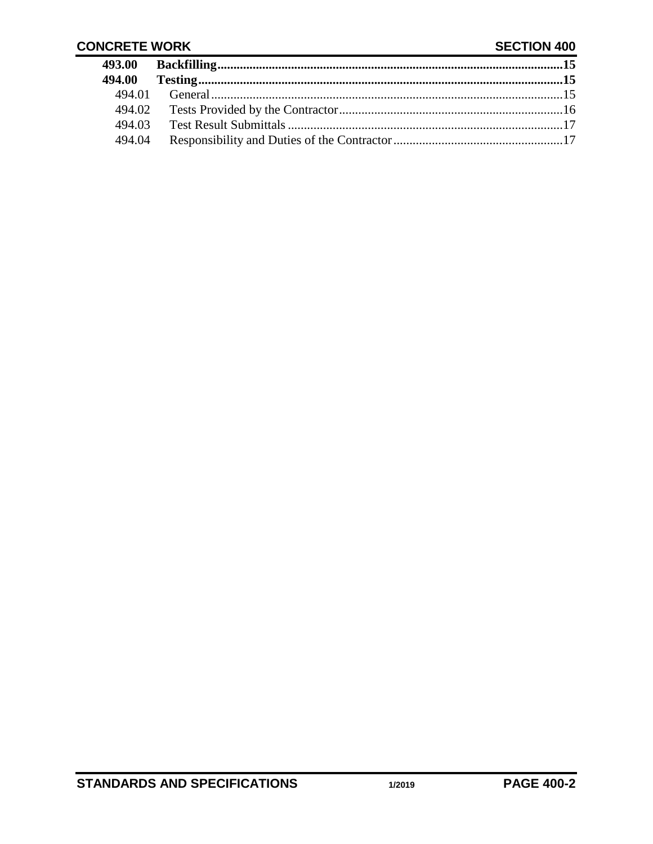## **CONCRETE WORK**

## **SECTION 400**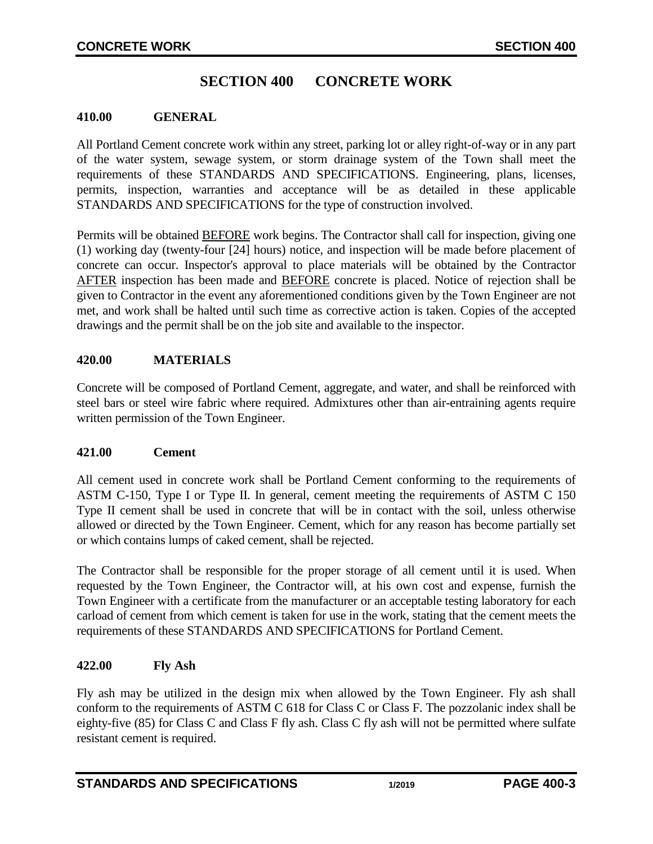# **SECTION 400 CONCRETE WORK**

### <span id="page-2-0"></span>**410.00 GENERAL**

All Portland Cement concrete work within any street, parking lot or alley right-of-way or in any part of the water system, sewage system, or storm drainage system of the Town shall meet the requirements of these STANDARDS AND SPECIFICATIONS. Engineering, plans, licenses, permits, inspection, warranties and acceptance will be as detailed in these applicable STANDARDS AND SPECIFICATIONS for the type of construction involved.

Permits will be obtained BEFORE work begins. The Contractor shall call for inspection, giving one (1) working day (twenty-four [24] hours) notice, and inspection will be made before placement of concrete can occur. Inspector's approval to place materials will be obtained by the Contractor AFTER inspection has been made and BEFORE concrete is placed. Notice of rejection shall be given to Contractor in the event any aforementioned conditions given by the Town Engineer are not met, and work shall be halted until such time as corrective action is taken. Copies of the accepted drawings and the permit shall be on the job site and available to the inspector.

## <span id="page-2-1"></span>**420.00 MATERIALS**

Concrete will be composed of Portland Cement, aggregate, and water, and shall be reinforced with steel bars or steel wire fabric where required. Admixtures other than air-entraining agents require written permission of the Town Engineer.

#### <span id="page-2-2"></span>**421.00 Cement**

All cement used in concrete work shall be Portland Cement conforming to the requirements of ASTM C-150, Type I or Type II. In general, cement meeting the requirements of ASTM C 150 Type II cement shall be used in concrete that will be in contact with the soil, unless otherwise allowed or directed by the Town Engineer. Cement, which for any reason has become partially set or which contains lumps of caked cement, shall be rejected.

The Contractor shall be responsible for the proper storage of all cement until it is used. When requested by the Town Engineer, the Contractor will, at his own cost and expense, furnish the Town Engineer with a certificate from the manufacturer or an acceptable testing laboratory for each carload of cement from which cement is taken for use in the work, stating that the cement meets the requirements of these STANDARDS AND SPECIFICATIONS for Portland Cement.

## <span id="page-2-3"></span>**422.00 Fly Ash**

Fly ash may be utilized in the design mix when allowed by the Town Engineer. Fly ash shall conform to the requirements of ASTM C 618 for Class C or Class F. The pozzolanic index shall be eighty-five (85) for Class C and Class F fly ash. Class C fly ash will not be permitted where sulfate resistant cement is required.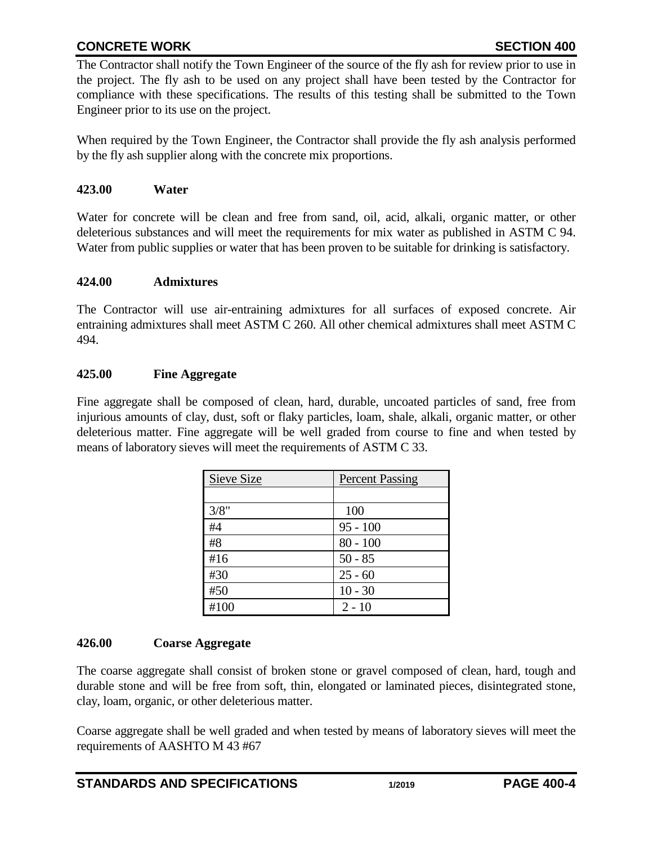# **CONCRETE WORK SECTION 400**

The Contractor shall notify the Town Engineer of the source of the fly ash for review prior to use in the project. The fly ash to be used on any project shall have been tested by the Contractor for compliance with these specifications. The results of this testing shall be submitted to the Town Engineer prior to its use on the project.

When required by the Town Engineer, the Contractor shall provide the fly ash analysis performed by the fly ash supplier along with the concrete mix proportions.

### <span id="page-3-0"></span>**423.00 Water**

Water for concrete will be clean and free from sand, oil, acid, alkali, organic matter, or other deleterious substances and will meet the requirements for mix water as published in ASTM C 94. Water from public supplies or water that has been proven to be suitable for drinking is satisfactory.

### <span id="page-3-1"></span>**424.00 Admixtures**

The Contractor will use air-entraining admixtures for all surfaces of exposed concrete. Air entraining admixtures shall meet ASTM C 260. All other chemical admixtures shall meet ASTM C 494.

### <span id="page-3-2"></span>**425.00 Fine Aggregate**

Fine aggregate shall be composed of clean, hard, durable, uncoated particles of sand, free from injurious amounts of clay, dust, soft or flaky particles, loam, shale, alkali, organic matter, or other deleterious matter. Fine aggregate will be well graded from course to fine and when tested by means of laboratory sieves will meet the requirements of ASTM C 33.

| Sieve Size | <b>Percent Passing</b> |
|------------|------------------------|
|            |                        |
| 3/8"       | 100                    |
| #4         | $95 - 100$             |
| #8         | $80 - 100$             |
| #16        | $50 - 85$              |
| #30        | $25 - 60$              |
| #50        | $10 - 30$              |
| #100       | $2 - 10$               |

## <span id="page-3-3"></span>**426.00 Coarse Aggregate**

The coarse aggregate shall consist of broken stone or gravel composed of clean, hard, tough and durable stone and will be free from soft, thin, elongated or laminated pieces, disintegrated stone, clay, loam, organic, or other deleterious matter.

Coarse aggregate shall be well graded and when tested by means of laboratory sieves will meet the requirements of AASHTO M 43 #67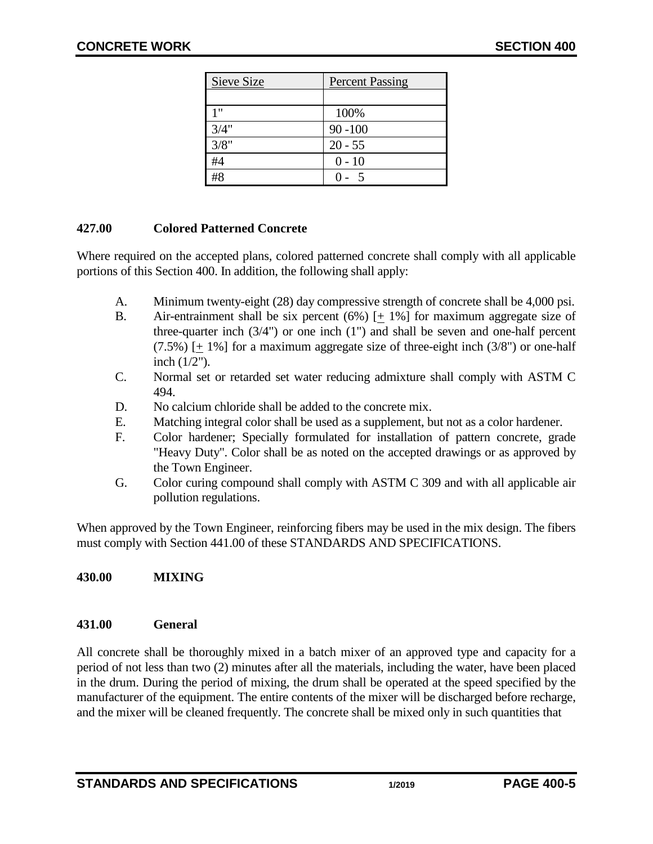| Sieve Size | <b>Percent Passing</b> |
|------------|------------------------|
|            |                        |
| 1 11       | 100%                   |
| 3/4"       | $90 - 100$             |
| 3/8"       | $20 - 55$              |
| #4         | $0 - 10$               |
| #8         |                        |

## <span id="page-4-0"></span>**427.00 Colored Patterned Concrete**

Where required on the accepted plans, colored patterned concrete shall comply with all applicable portions of this Section 400. In addition, the following shall apply:

- A. Minimum twenty-eight (28) day compressive strength of concrete shall be 4,000 psi.
- B. Air-entrainment shall be six percent  $(6%)$  [+ 1%] for maximum aggregate size of three-quarter inch (3/4") or one inch (1") and shall be seven and one-half percent  $(7.5\%)$  [+ 1%] for a maximum aggregate size of three-eight inch  $(3/8")$  or one-half inch (1/2").
- C. Normal set or retarded set water reducing admixture shall comply with ASTM C 494.
- D. No calcium chloride shall be added to the concrete mix.
- E. Matching integral color shall be used as a supplement, but not as a color hardener.
- F. Color hardener; Specially formulated for installation of pattern concrete, grade "Heavy Duty". Color shall be as noted on the accepted drawings or as approved by the Town Engineer.
- G. Color curing compound shall comply with ASTM C 309 and with all applicable air pollution regulations.

When approved by the Town Engineer, reinforcing fibers may be used in the mix design. The fibers must comply with Section 441.00 of these STANDARDS AND SPECIFICATIONS.

# <span id="page-4-1"></span>**430.00 MIXING**

## <span id="page-4-2"></span>**431.00 General**

All concrete shall be thoroughly mixed in a batch mixer of an approved type and capacity for a period of not less than two (2) minutes after all the materials, including the water, have been placed in the drum. During the period of mixing, the drum shall be operated at the speed specified by the manufacturer of the equipment. The entire contents of the mixer will be discharged before recharge, and the mixer will be cleaned frequently. The concrete shall be mixed only in such quantities that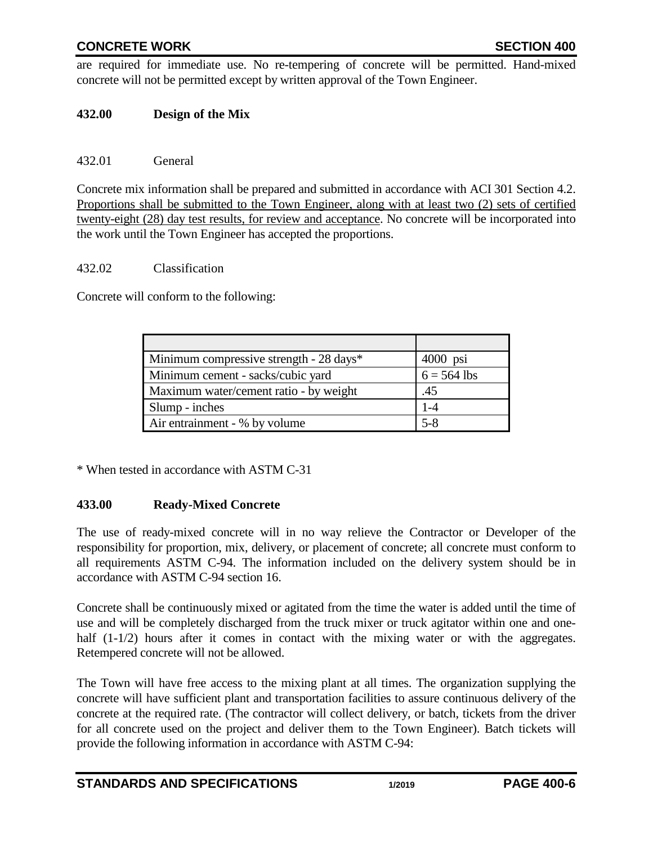# **CONCRETE WORK SECTION 400**

are required for immediate use. No re-tempering of concrete will be permitted. Hand-mixed concrete will not be permitted except by written approval of the Town Engineer.

## <span id="page-5-0"></span>**432.00 Design of the Mix**

### <span id="page-5-1"></span>432.01 General

Concrete mix information shall be prepared and submitted in accordance with ACI 301 Section 4.2. Proportions shall be submitted to the Town Engineer, along with at least two (2) sets of certified twenty-eight (28) day test results, for review and acceptance. No concrete will be incorporated into the work until the Town Engineer has accepted the proportions.

#### <span id="page-5-2"></span>432.02 Classification

Concrete will conform to the following:

| Minimum compressive strength - 28 days* | $4000$ psi    |
|-----------------------------------------|---------------|
| Minimum cement - sacks/cubic yard       | $6 = 564$ lbs |
| Maximum water/cement ratio - by weight  | .45           |
| Slump - inches                          | $1 - 4$       |
| Air entrainment - % by volume           | $5 - 8$       |

<span id="page-5-3"></span>\* When tested in accordance with ASTM C-31

## **433.00 Ready-Mixed Concrete**

The use of ready-mixed concrete will in no way relieve the Contractor or Developer of the responsibility for proportion, mix, delivery, or placement of concrete; all concrete must conform to all requirements ASTM C-94. The information included on the delivery system should be in accordance with ASTM C-94 section 16.

Concrete shall be continuously mixed or agitated from the time the water is added until the time of use and will be completely discharged from the truck mixer or truck agitator within one and onehalf  $(1-1/2)$  hours after it comes in contact with the mixing water or with the aggregates. Retempered concrete will not be allowed.

The Town will have free access to the mixing plant at all times. The organization supplying the concrete will have sufficient plant and transportation facilities to assure continuous delivery of the concrete at the required rate. (The contractor will collect delivery, or batch, tickets from the driver for all concrete used on the project and deliver them to the Town Engineer). Batch tickets will provide the following information in accordance with ASTM C-94: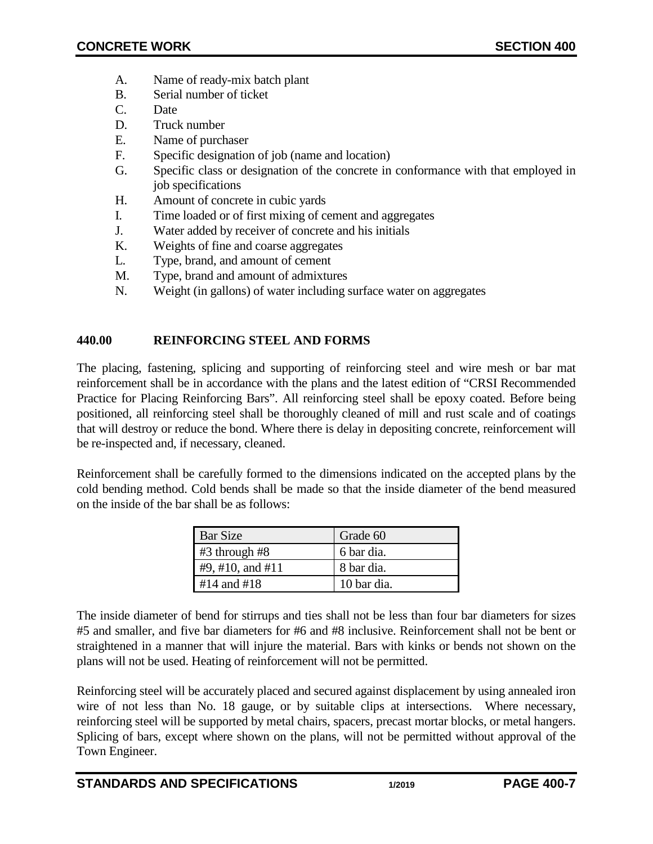- A. Name of ready-mix batch plant
- B. Serial number of ticket
- C. Date
- D. Truck number
- E. Name of purchaser
- F. Specific designation of job (name and location)
- G. Specific class or designation of the concrete in conformance with that employed in job specifications
- H. Amount of concrete in cubic yards
- I. Time loaded or of first mixing of cement and aggregates
- J. Water added by receiver of concrete and his initials
- K. Weights of fine and coarse aggregates
- L. Type, brand, and amount of cement
- M. Type, brand and amount of admixtures
- N. Weight (in gallons) of water including surface water on aggregates

## <span id="page-6-0"></span>**440.00 REINFORCING STEEL AND FORMS**

The placing, fastening, splicing and supporting of reinforcing steel and wire mesh or bar mat reinforcement shall be in accordance with the plans and the latest edition of "CRSI Recommended Practice for Placing Reinforcing Bars". All reinforcing steel shall be epoxy coated. Before being positioned, all reinforcing steel shall be thoroughly cleaned of mill and rust scale and of coatings that will destroy or reduce the bond. Where there is delay in depositing concrete, reinforcement will be re-inspected and, if necessary, cleaned.

Reinforcement shall be carefully formed to the dimensions indicated on the accepted plans by the cold bending method. Cold bends shall be made so that the inside diameter of the bend measured on the inside of the bar shall be as follows:

| Bar Size            | Grade 60    |
|---------------------|-------------|
| $\#3$ through $\#8$ | 6 bar dia.  |
| #9, #10, and #11    | 8 bar dia.  |
| $#14$ and $#18$     | 10 bar dia. |

The inside diameter of bend for stirrups and ties shall not be less than four bar diameters for sizes #5 and smaller, and five bar diameters for #6 and #8 inclusive. Reinforcement shall not be bent or straightened in a manner that will injure the material. Bars with kinks or bends not shown on the plans will not be used. Heating of reinforcement will not be permitted.

Reinforcing steel will be accurately placed and secured against displacement by using annealed iron wire of not less than No. 18 gauge, or by suitable clips at intersections. Where necessary, reinforcing steel will be supported by metal chairs, spacers, precast mortar blocks, or metal hangers. Splicing of bars, except where shown on the plans, will not be permitted without approval of the Town Engineer.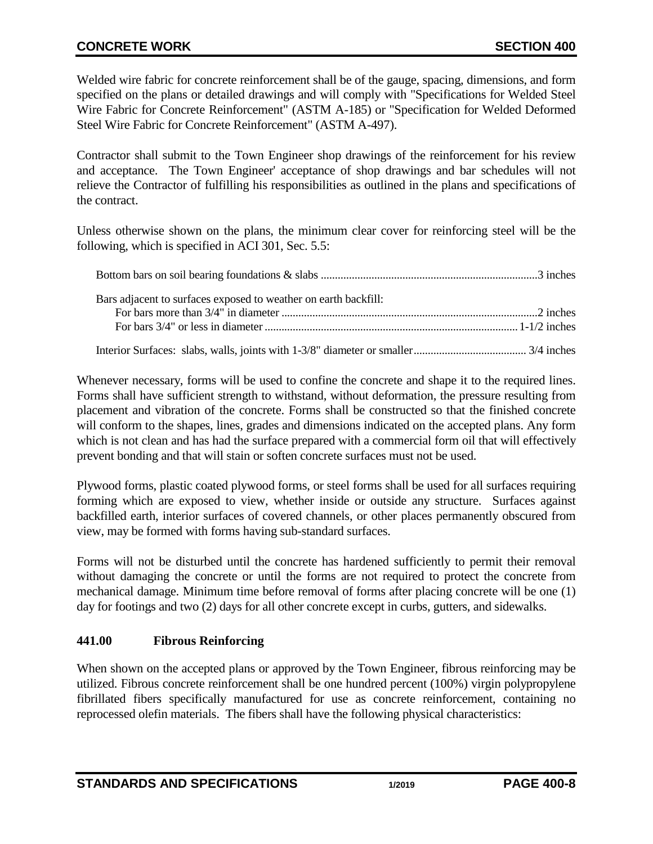Welded wire fabric for concrete reinforcement shall be of the gauge, spacing, dimensions, and form specified on the plans or detailed drawings and will comply with "Specifications for Welded Steel Wire Fabric for Concrete Reinforcement" (ASTM A-185) or "Specification for Welded Deformed Steel Wire Fabric for Concrete Reinforcement" (ASTM A-497).

Contractor shall submit to the Town Engineer shop drawings of the reinforcement for his review and acceptance. The Town Engineer' acceptance of shop drawings and bar schedules will not relieve the Contractor of fulfilling his responsibilities as outlined in the plans and specifications of the contract.

Unless otherwise shown on the plans, the minimum clear cover for reinforcing steel will be the following, which is specified in ACI 301, Sec. 5.5:

| Bars adjacent to surfaces exposed to weather on earth backfill: |  |
|-----------------------------------------------------------------|--|
|                                                                 |  |
|                                                                 |  |
|                                                                 |  |

Whenever necessary, forms will be used to confine the concrete and shape it to the required lines. Forms shall have sufficient strength to withstand, without deformation, the pressure resulting from placement and vibration of the concrete. Forms shall be constructed so that the finished concrete will conform to the shapes, lines, grades and dimensions indicated on the accepted plans. Any form which is not clean and has had the surface prepared with a commercial form oil that will effectively prevent bonding and that will stain or soften concrete surfaces must not be used.

Plywood forms, plastic coated plywood forms, or steel forms shall be used for all surfaces requiring forming which are exposed to view, whether inside or outside any structure. Surfaces against backfilled earth, interior surfaces of covered channels, or other places permanently obscured from view, may be formed with forms having sub-standard surfaces.

Forms will not be disturbed until the concrete has hardened sufficiently to permit their removal without damaging the concrete or until the forms are not required to protect the concrete from mechanical damage. Minimum time before removal of forms after placing concrete will be one (1) day for footings and two (2) days for all other concrete except in curbs, gutters, and sidewalks.

# <span id="page-7-0"></span>**441.00 Fibrous Reinforcing**

When shown on the accepted plans or approved by the Town Engineer, fibrous reinforcing may be utilized. Fibrous concrete reinforcement shall be one hundred percent (100%) virgin polypropylene fibrillated fibers specifically manufactured for use as concrete reinforcement, containing no reprocessed olefin materials. The fibers shall have the following physical characteristics: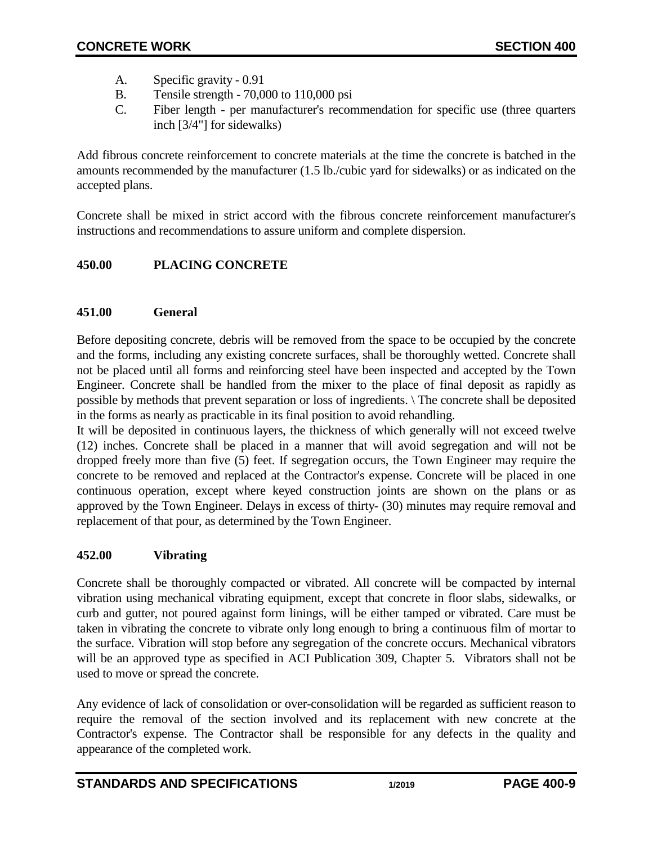- A. Specific gravity 0.91
- B. Tensile strength 70,000 to 110,000 psi
- C. Fiber length per manufacturer's recommendation for specific use (three quarters inch [3/4"] for sidewalks)

Add fibrous concrete reinforcement to concrete materials at the time the concrete is batched in the amounts recommended by the manufacturer (1.5 lb./cubic yard for sidewalks) or as indicated on the accepted plans.

Concrete shall be mixed in strict accord with the fibrous concrete reinforcement manufacturer's instructions and recommendations to assure uniform and complete dispersion.

# <span id="page-8-0"></span>**450.00 PLACING CONCRETE**

## <span id="page-8-1"></span>**451.00 General**

Before depositing concrete, debris will be removed from the space to be occupied by the concrete and the forms, including any existing concrete surfaces, shall be thoroughly wetted. Concrete shall not be placed until all forms and reinforcing steel have been inspected and accepted by the Town Engineer. Concrete shall be handled from the mixer to the place of final deposit as rapidly as possible by methods that prevent separation or loss of ingredients. \ The concrete shall be deposited in the forms as nearly as practicable in its final position to avoid rehandling.

It will be deposited in continuous layers, the thickness of which generally will not exceed twelve (12) inches. Concrete shall be placed in a manner that will avoid segregation and will not be dropped freely more than five (5) feet. If segregation occurs, the Town Engineer may require the concrete to be removed and replaced at the Contractor's expense. Concrete will be placed in one continuous operation, except where keyed construction joints are shown on the plans or as approved by the Town Engineer. Delays in excess of thirty- (30) minutes may require removal and replacement of that pour, as determined by the Town Engineer.

## <span id="page-8-2"></span>**452.00 Vibrating**

Concrete shall be thoroughly compacted or vibrated. All concrete will be compacted by internal vibration using mechanical vibrating equipment, except that concrete in floor slabs, sidewalks, or curb and gutter, not poured against form linings, will be either tamped or vibrated. Care must be taken in vibrating the concrete to vibrate only long enough to bring a continuous film of mortar to the surface. Vibration will stop before any segregation of the concrete occurs. Mechanical vibrators will be an approved type as specified in ACI Publication 309, Chapter 5. Vibrators shall not be used to move or spread the concrete.

Any evidence of lack of consolidation or over-consolidation will be regarded as sufficient reason to require the removal of the section involved and its replacement with new concrete at the Contractor's expense. The Contractor shall be responsible for any defects in the quality and appearance of the completed work.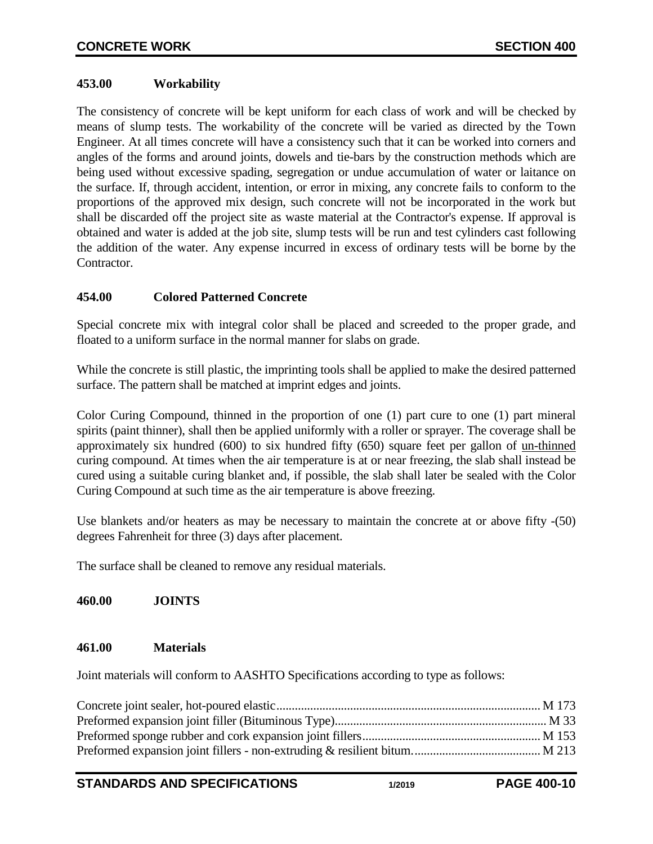## <span id="page-9-0"></span>**453.00 Workability**

The consistency of concrete will be kept uniform for each class of work and will be checked by means of slump tests. The workability of the concrete will be varied as directed by the Town Engineer. At all times concrete will have a consistency such that it can be worked into corners and angles of the forms and around joints, dowels and tie-bars by the construction methods which are being used without excessive spading, segregation or undue accumulation of water or laitance on the surface. If, through accident, intention, or error in mixing, any concrete fails to conform to the proportions of the approved mix design, such concrete will not be incorporated in the work but shall be discarded off the project site as waste material at the Contractor's expense. If approval is obtained and water is added at the job site, slump tests will be run and test cylinders cast following the addition of the water. Any expense incurred in excess of ordinary tests will be borne by the Contractor.

## <span id="page-9-1"></span>**454.00 Colored Patterned Concrete**

Special concrete mix with integral color shall be placed and screeded to the proper grade, and floated to a uniform surface in the normal manner for slabs on grade.

While the concrete is still plastic, the imprinting tools shall be applied to make the desired patterned surface. The pattern shall be matched at imprint edges and joints.

Color Curing Compound, thinned in the proportion of one (1) part cure to one (1) part mineral spirits (paint thinner), shall then be applied uniformly with a roller or sprayer. The coverage shall be approximately six hundred (600) to six hundred fifty (650) square feet per gallon of un-thinned curing compound. At times when the air temperature is at or near freezing, the slab shall instead be cured using a suitable curing blanket and, if possible, the slab shall later be sealed with the Color Curing Compound at such time as the air temperature is above freezing.

Use blankets and/or heaters as may be necessary to maintain the concrete at or above fifty -(50) degrees Fahrenheit for three (3) days after placement.

<span id="page-9-2"></span>The surface shall be cleaned to remove any residual materials.

# **460.00 JOINTS**

## <span id="page-9-3"></span>**461.00 Materials**

Joint materials will conform to AASHTO Specifications according to type as follows: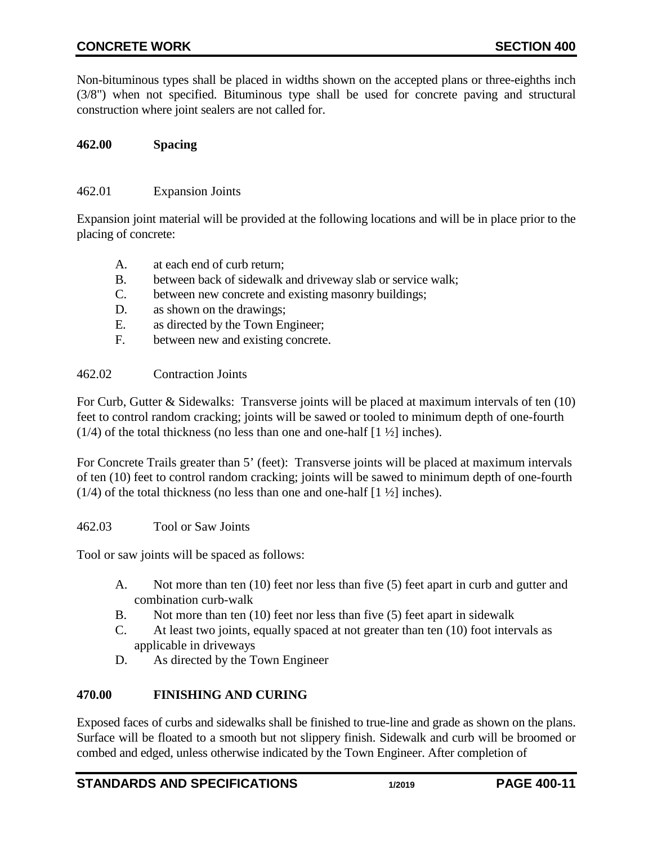Non-bituminous types shall be placed in widths shown on the accepted plans or three-eighths inch (3/8") when not specified. Bituminous type shall be used for concrete paving and structural construction where joint sealers are not called for.

## <span id="page-10-0"></span>**462.00 Spacing**

#### <span id="page-10-1"></span>462.01 Expansion Joints

Expansion joint material will be provided at the following locations and will be in place prior to the placing of concrete:

- A. at each end of curb return;
- B. between back of sidewalk and driveway slab or service walk;
- C. between new concrete and existing masonry buildings;
- D. as shown on the drawings;
- E. as directed by the Town Engineer;
- F. between new and existing concrete.

#### <span id="page-10-2"></span>462.02 Contraction Joints

For Curb, Gutter & Sidewalks: Transverse joints will be placed at maximum intervals of ten (10) feet to control random cracking; joints will be sawed or tooled to minimum depth of one-fourth  $(1/4)$  of the total thickness (no less than one and one-half  $[1 \frac{1}{2}]$  inches).

For Concrete Trails greater than 5' (feet): Transverse joints will be placed at maximum intervals of ten (10) feet to control random cracking; joints will be sawed to minimum depth of one-fourth (1/4) of the total thickness (no less than one and one-half  $[1 \frac{1}{2}]$  inches).

<span id="page-10-3"></span>462.03 Tool or Saw Joints

Tool or saw joints will be spaced as follows:

- A. Not more than ten (10) feet nor less than five (5) feet apart in curb and gutter and combination curb-walk
- B. Not more than ten (10) feet nor less than five (5) feet apart in sidewalk
- C. At least two joints, equally spaced at not greater than ten (10) foot intervals as applicable in driveways
- D. As directed by the Town Engineer

## <span id="page-10-4"></span>**470.00 FINISHING AND CURING**

Exposed faces of curbs and sidewalks shall be finished to true-line and grade as shown on the plans. Surface will be floated to a smooth but not slippery finish. Sidewalk and curb will be broomed or combed and edged, unless otherwise indicated by the Town Engineer. After completion of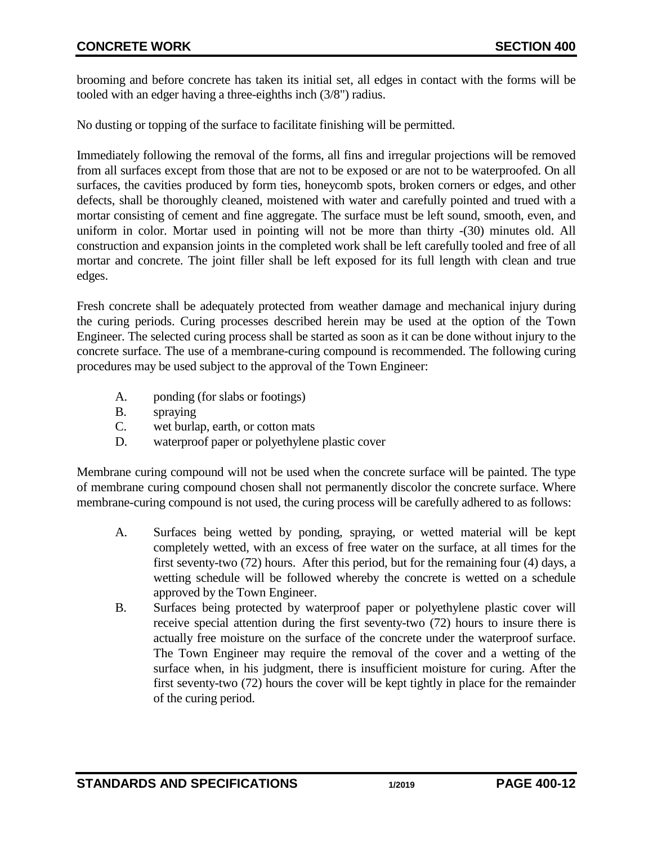brooming and before concrete has taken its initial set, all edges in contact with the forms will be tooled with an edger having a three-eighths inch (3/8") radius.

No dusting or topping of the surface to facilitate finishing will be permitted.

Immediately following the removal of the forms, all fins and irregular projections will be removed from all surfaces except from those that are not to be exposed or are not to be waterproofed. On all surfaces, the cavities produced by form ties, honeycomb spots, broken corners or edges, and other defects, shall be thoroughly cleaned, moistened with water and carefully pointed and trued with a mortar consisting of cement and fine aggregate. The surface must be left sound, smooth, even, and uniform in color. Mortar used in pointing will not be more than thirty -(30) minutes old. All construction and expansion joints in the completed work shall be left carefully tooled and free of all mortar and concrete. The joint filler shall be left exposed for its full length with clean and true edges.

Fresh concrete shall be adequately protected from weather damage and mechanical injury during the curing periods. Curing processes described herein may be used at the option of the Town Engineer. The selected curing process shall be started as soon as it can be done without injury to the concrete surface. The use of a membrane-curing compound is recommended. The following curing procedures may be used subject to the approval of the Town Engineer:

- A. ponding (for slabs or footings)
- B. spraying
- C. wet burlap, earth, or cotton mats
- D. waterproof paper or polyethylene plastic cover

Membrane curing compound will not be used when the concrete surface will be painted. The type of membrane curing compound chosen shall not permanently discolor the concrete surface. Where membrane-curing compound is not used, the curing process will be carefully adhered to as follows:

- A. Surfaces being wetted by ponding, spraying, or wetted material will be kept completely wetted, with an excess of free water on the surface, at all times for the first seventy-two (72) hours. After this period, but for the remaining four (4) days, a wetting schedule will be followed whereby the concrete is wetted on a schedule approved by the Town Engineer.
- B. Surfaces being protected by waterproof paper or polyethylene plastic cover will receive special attention during the first seventy-two (72) hours to insure there is actually free moisture on the surface of the concrete under the waterproof surface. The Town Engineer may require the removal of the cover and a wetting of the surface when, in his judgment, there is insufficient moisture for curing. After the first seventy-two (72) hours the cover will be kept tightly in place for the remainder of the curing period.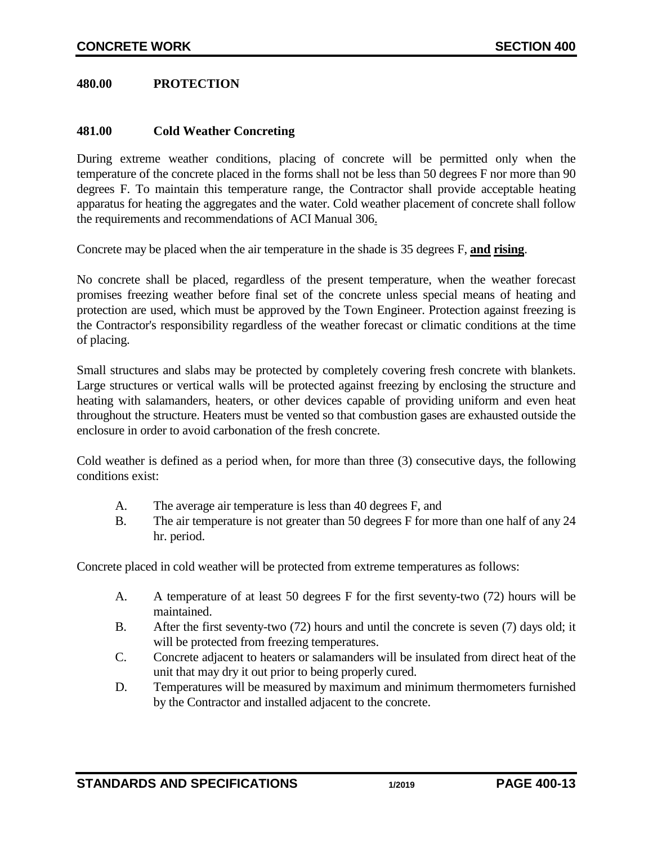<span id="page-12-0"></span>**480.00 PROTECTION**

### <span id="page-12-1"></span>**481.00 Cold Weather Concreting**

During extreme weather conditions, placing of concrete will be permitted only when the temperature of the concrete placed in the forms shall not be less than 50 degrees F nor more than 90 degrees F. To maintain this temperature range, the Contractor shall provide acceptable heating apparatus for heating the aggregates and the water. Cold weather placement of concrete shall follow the requirements and recommendations of ACI Manual 306.

Concrete may be placed when the air temperature in the shade is 35 degrees F, **and rising**.

No concrete shall be placed, regardless of the present temperature, when the weather forecast promises freezing weather before final set of the concrete unless special means of heating and protection are used, which must be approved by the Town Engineer. Protection against freezing is the Contractor's responsibility regardless of the weather forecast or climatic conditions at the time of placing.

Small structures and slabs may be protected by completely covering fresh concrete with blankets. Large structures or vertical walls will be protected against freezing by enclosing the structure and heating with salamanders, heaters, or other devices capable of providing uniform and even heat throughout the structure. Heaters must be vented so that combustion gases are exhausted outside the enclosure in order to avoid carbonation of the fresh concrete.

Cold weather is defined as a period when, for more than three (3) consecutive days, the following conditions exist:

- A. The average air temperature is less than 40 degrees F, and
- B. The air temperature is not greater than 50 degrees F for more than one half of any 24 hr. period.

Concrete placed in cold weather will be protected from extreme temperatures as follows:

- A. A temperature of at least 50 degrees F for the first seventy-two (72) hours will be maintained.
- B. After the first seventy-two (72) hours and until the concrete is seven (7) days old; it will be protected from freezing temperatures.
- C. Concrete adjacent to heaters or salamanders will be insulated from direct heat of the unit that may dry it out prior to being properly cured.
- D. Temperatures will be measured by maximum and minimum thermometers furnished by the Contractor and installed adjacent to the concrete.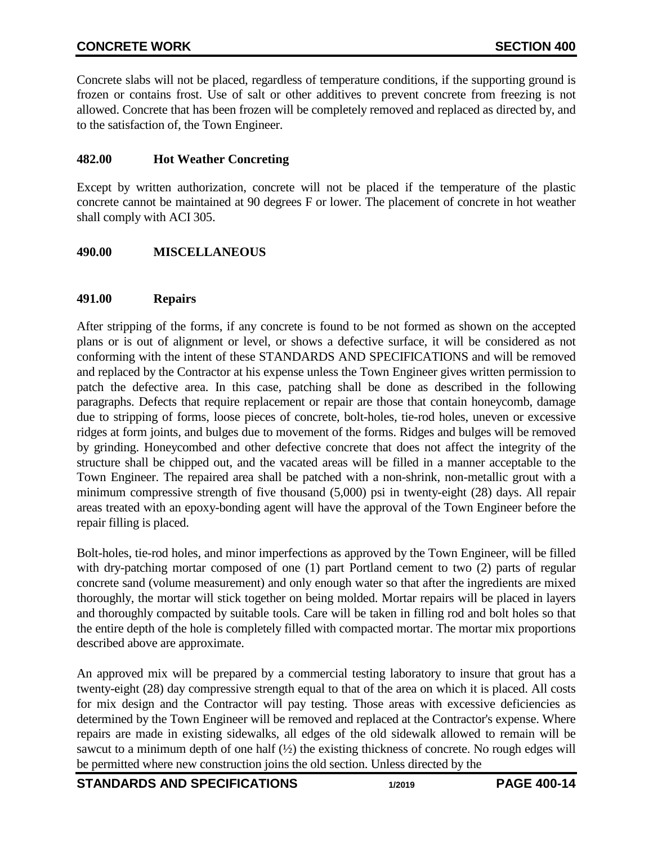Concrete slabs will not be placed, regardless of temperature conditions, if the supporting ground is frozen or contains frost. Use of salt or other additives to prevent concrete from freezing is not allowed. Concrete that has been frozen will be completely removed and replaced as directed by, and to the satisfaction of, the Town Engineer.

## <span id="page-13-0"></span>**482.00 Hot Weather Concreting**

Except by written authorization, concrete will not be placed if the temperature of the plastic concrete cannot be maintained at 90 degrees F or lower. The placement of concrete in hot weather shall comply with ACI 305.

## <span id="page-13-1"></span>**490.00 MISCELLANEOUS**

## <span id="page-13-2"></span>**491.00 Repairs**

After stripping of the forms, if any concrete is found to be not formed as shown on the accepted plans or is out of alignment or level, or shows a defective surface, it will be considered as not conforming with the intent of these STANDARDS AND SPECIFICATIONS and will be removed and replaced by the Contractor at his expense unless the Town Engineer gives written permission to patch the defective area. In this case, patching shall be done as described in the following paragraphs. Defects that require replacement or repair are those that contain honeycomb, damage due to stripping of forms, loose pieces of concrete, bolt-holes, tie-rod holes, uneven or excessive ridges at form joints, and bulges due to movement of the forms. Ridges and bulges will be removed by grinding. Honeycombed and other defective concrete that does not affect the integrity of the structure shall be chipped out, and the vacated areas will be filled in a manner acceptable to the Town Engineer. The repaired area shall be patched with a non-shrink, non-metallic grout with a minimum compressive strength of five thousand (5,000) psi in twenty-eight (28) days. All repair areas treated with an epoxy-bonding agent will have the approval of the Town Engineer before the repair filling is placed.

Bolt-holes, tie-rod holes, and minor imperfections as approved by the Town Engineer, will be filled with dry-patching mortar composed of one (1) part Portland cement to two (2) parts of regular concrete sand (volume measurement) and only enough water so that after the ingredients are mixed thoroughly, the mortar will stick together on being molded. Mortar repairs will be placed in layers and thoroughly compacted by suitable tools. Care will be taken in filling rod and bolt holes so that the entire depth of the hole is completely filled with compacted mortar. The mortar mix proportions described above are approximate.

An approved mix will be prepared by a commercial testing laboratory to insure that grout has a twenty-eight (28) day compressive strength equal to that of the area on which it is placed. All costs for mix design and the Contractor will pay testing. Those areas with excessive deficiencies as determined by the Town Engineer will be removed and replaced at the Contractor's expense. Where repairs are made in existing sidewalks, all edges of the old sidewalk allowed to remain will be sawcut to a minimum depth of one half  $(\frac{1}{2})$  the existing thickness of concrete. No rough edges will be permitted where new construction joins the old section. Unless directed by the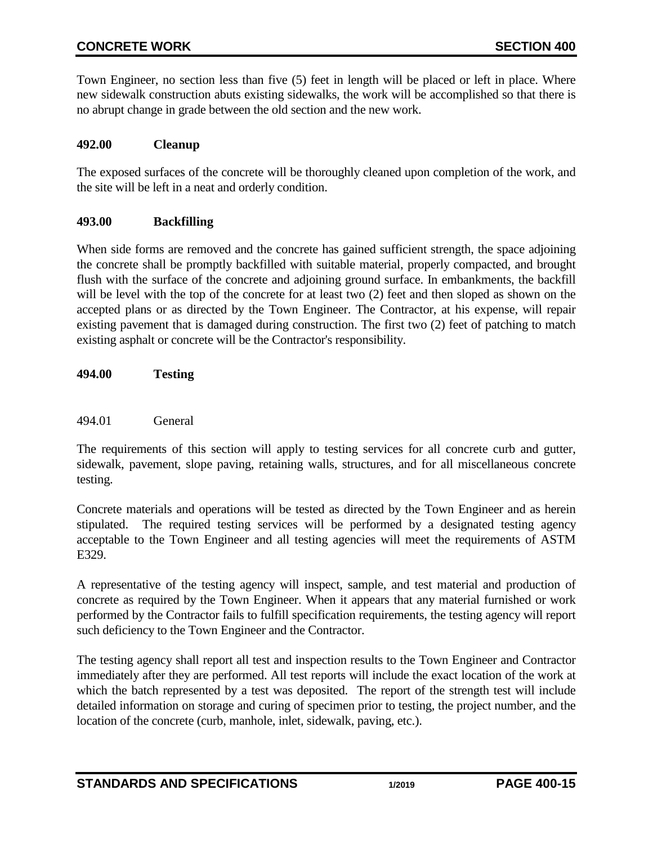Town Engineer, no section less than five (5) feet in length will be placed or left in place. Where new sidewalk construction abuts existing sidewalks, the work will be accomplished so that there is no abrupt change in grade between the old section and the new work.

## <span id="page-14-0"></span>**492.00 Cleanup**

The exposed surfaces of the concrete will be thoroughly cleaned upon completion of the work, and the site will be left in a neat and orderly condition.

## <span id="page-14-1"></span>**493.00 Backfilling**

When side forms are removed and the concrete has gained sufficient strength, the space adjoining the concrete shall be promptly backfilled with suitable material, properly compacted, and brought flush with the surface of the concrete and adjoining ground surface. In embankments, the backfill will be level with the top of the concrete for at least two  $(2)$  feet and then sloped as shown on the accepted plans or as directed by the Town Engineer. The Contractor, at his expense, will repair existing pavement that is damaged during construction. The first two (2) feet of patching to match existing asphalt or concrete will be the Contractor's responsibility.

<span id="page-14-2"></span>**494.00 Testing**

### <span id="page-14-3"></span>494.01 General

The requirements of this section will apply to testing services for all concrete curb and gutter, sidewalk, pavement, slope paving, retaining walls, structures, and for all miscellaneous concrete testing.

Concrete materials and operations will be tested as directed by the Town Engineer and as herein stipulated. The required testing services will be performed by a designated testing agency acceptable to the Town Engineer and all testing agencies will meet the requirements of ASTM E329.

A representative of the testing agency will inspect, sample, and test material and production of concrete as required by the Town Engineer. When it appears that any material furnished or work performed by the Contractor fails to fulfill specification requirements, the testing agency will report such deficiency to the Town Engineer and the Contractor.

The testing agency shall report all test and inspection results to the Town Engineer and Contractor immediately after they are performed. All test reports will include the exact location of the work at which the batch represented by a test was deposited. The report of the strength test will include detailed information on storage and curing of specimen prior to testing, the project number, and the location of the concrete (curb, manhole, inlet, sidewalk, paving, etc.).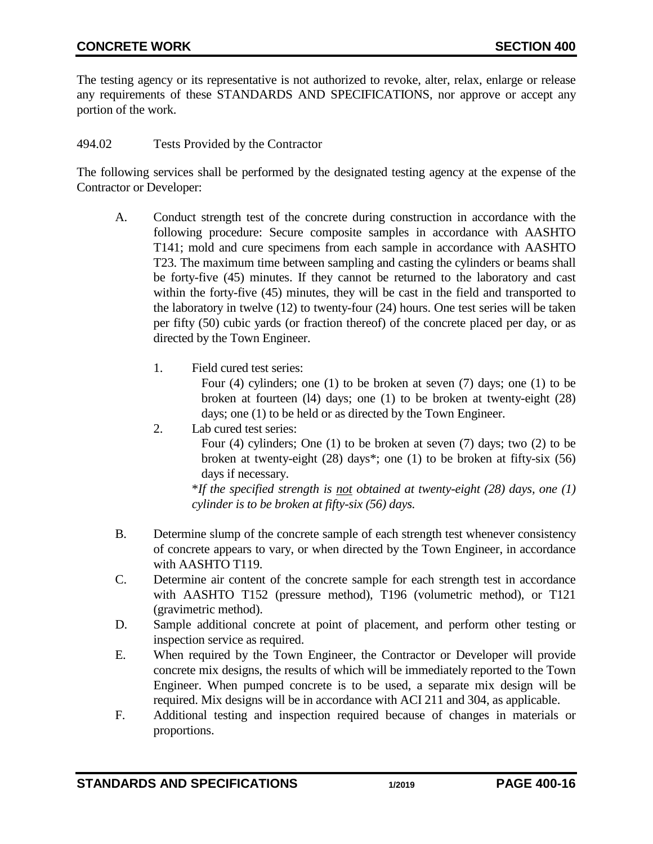The testing agency or its representative is not authorized to revoke, alter, relax, enlarge or release any requirements of these STANDARDS AND SPECIFICATIONS, nor approve or accept any portion of the work.

<span id="page-15-0"></span>494.02 Tests Provided by the Contractor

The following services shall be performed by the designated testing agency at the expense of the Contractor or Developer:

- A. Conduct strength test of the concrete during construction in accordance with the following procedure: Secure composite samples in accordance with AASHTO T141; mold and cure specimens from each sample in accordance with AASHTO T23. The maximum time between sampling and casting the cylinders or beams shall be forty-five (45) minutes. If they cannot be returned to the laboratory and cast within the forty-five (45) minutes, they will be cast in the field and transported to the laboratory in twelve (12) to twenty-four (24) hours. One test series will be taken per fifty (50) cubic yards (or fraction thereof) of the concrete placed per day, or as directed by the Town Engineer.
	- 1. Field cured test series:

Four (4) cylinders; one (1) to be broken at seven (7) days; one (1) to be broken at fourteen (l4) days; one (1) to be broken at twenty-eight (28) days; one (1) to be held or as directed by the Town Engineer.

2. Lab cured test series:

Four (4) cylinders; One (1) to be broken at seven (7) days; two (2) to be broken at twenty-eight (28) days\*; one (1) to be broken at fifty-six (56) days if necessary.

\**If the specified strength is not obtained at twenty-eight (28) days, one (1) cylinder is to be broken at fifty-six (56) days.*

- B. Determine slump of the concrete sample of each strength test whenever consistency of concrete appears to vary, or when directed by the Town Engineer, in accordance with AASHTO T119.
- C. Determine air content of the concrete sample for each strength test in accordance with AASHTO T152 (pressure method), T196 (volumetric method), or T121 (gravimetric method).
- D. Sample additional concrete at point of placement, and perform other testing or inspection service as required.
- E. When required by the Town Engineer, the Contractor or Developer will provide concrete mix designs, the results of which will be immediately reported to the Town Engineer. When pumped concrete is to be used, a separate mix design will be required. Mix designs will be in accordance with ACI 211 and 304, as applicable.
- F. Additional testing and inspection required because of changes in materials or proportions.